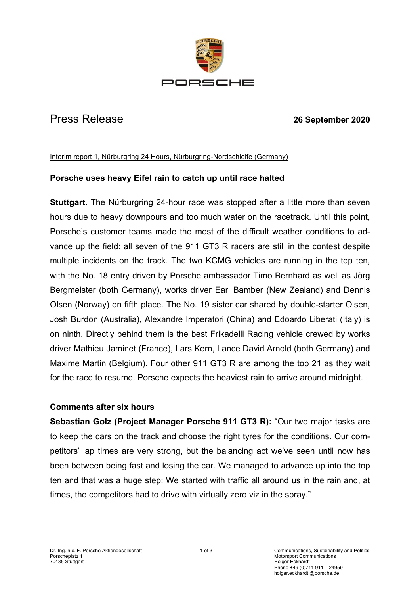

## Press Release **26 September 2020**

Interim report 1, Nürburgring 24 Hours, Nürburgring-Nordschleife (Germany)

## **Porsche uses heavy Eifel rain to catch up until race halted**

**Stuttgart.** The Nürburgring 24-hour race was stopped after a little more than seven hours due to heavy downpours and too much water on the racetrack. Until this point, Porsche's customer teams made the most of the difficult weather conditions to advance up the field: all seven of the 911 GT3 R racers are still in the contest despite multiple incidents on the track. The two KCMG vehicles are running in the top ten, with the No. 18 entry driven by Porsche ambassador Timo Bernhard as well as Jörg Bergmeister (both Germany), works driver Earl Bamber (New Zealand) and Dennis Olsen (Norway) on fifth place. The No. 19 sister car shared by double-starter Olsen, Josh Burdon (Australia), Alexandre Imperatori (China) and Edoardo Liberati (Italy) is on ninth. Directly behind them is the best Frikadelli Racing vehicle crewed by works driver Mathieu Jaminet (France), Lars Kern, Lance David Arnold (both Germany) and Maxime Martin (Belgium). Four other 911 GT3 R are among the top 21 as they wait for the race to resume. Porsche expects the heaviest rain to arrive around midnight.

## **Comments after six hours**

**Sebastian Golz (Project Manager Porsche 911 GT3 R):** "Our two major tasks are to keep the cars on the track and choose the right tyres for the conditions. Our competitors' lap times are very strong, but the balancing act we've seen until now has been between being fast and losing the car. We managed to advance up into the top ten and that was a huge step: We started with traffic all around us in the rain and, at times, the competitors had to drive with virtually zero viz in the spray."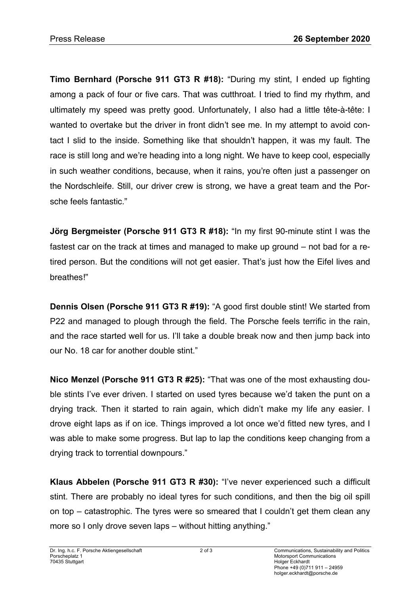**Timo Bernhard (Porsche 911 GT3 R #18):** "During my stint, I ended up fighting among a pack of four or five cars. That was cutthroat. I tried to find my rhythm, and ultimately my speed was pretty good. Unfortunately, I also had a little tête-à-tête: I wanted to overtake but the driver in front didn't see me. In my attempt to avoid contact I slid to the inside. Something like that shouldn't happen, it was my fault. The race is still long and we're heading into a long night. We have to keep cool, especially in such weather conditions, because, when it rains, you're often just a passenger on the Nordschleife. Still, our driver crew is strong, we have a great team and the Porsche feels fantastic."

**Jörg Bergmeister (Porsche 911 GT3 R #18):** "In my first 90-minute stint I was the fastest car on the track at times and managed to make up ground – not bad for a retired person. But the conditions will not get easier. That's just how the Eifel lives and breathes!"

**Dennis Olsen (Porsche 911 GT3 R #19):** "A good first double stint! We started from P22 and managed to plough through the field. The Porsche feels terrific in the rain, and the race started well for us. I'll take a double break now and then jump back into our No. 18 car for another double stint."

**Nico Menzel (Porsche 911 GT3 R #25):** "That was one of the most exhausting double stints I've ever driven. I started on used tyres because we'd taken the punt on a drying track. Then it started to rain again, which didn't make my life any easier. I drove eight laps as if on ice. Things improved a lot once we'd fitted new tyres, and I was able to make some progress. But lap to lap the conditions keep changing from a drying track to torrential downpours."

**Klaus Abbelen (Porsche 911 GT3 R #30):** "I've never experienced such a difficult stint. There are probably no ideal tyres for such conditions, and then the big oil spill on top – catastrophic. The tyres were so smeared that I couldn't get them clean any more so I only drove seven laps – without hitting anything."